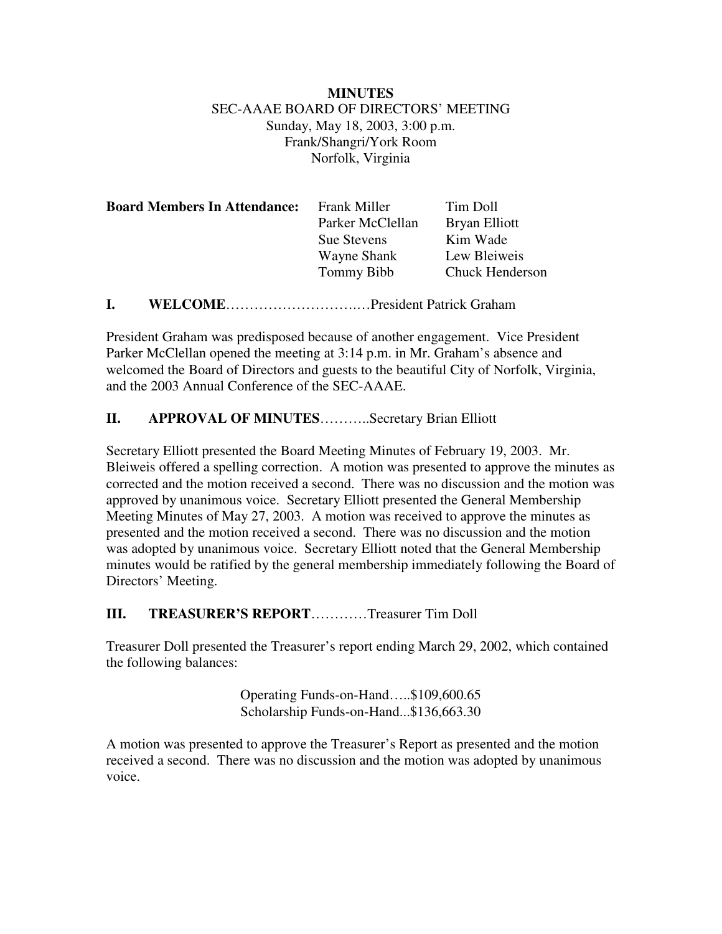## **MINUTES** SEC-AAAE BOARD OF DIRECTORS' MEETING Sunday, May 18, 2003, 3:00 p.m. Frank/Shangri/York Room Norfolk, Virginia

| <b>Board Members In Attendance:</b> | Frank Miller       | Tim Doll               |
|-------------------------------------|--------------------|------------------------|
|                                     | Parker McClellan   | Bryan Elliott          |
|                                     | <b>Sue Stevens</b> | Kim Wade               |
|                                     | Wayne Shank        | Lew Bleiweis           |
|                                     | Tommy Bibb         | <b>Chuck Henderson</b> |
|                                     |                    |                        |

**I. WELCOME**……………………….…President Patrick Graham

President Graham was predisposed because of another engagement. Vice President Parker McClellan opened the meeting at 3:14 p.m. in Mr. Graham's absence and welcomed the Board of Directors and guests to the beautiful City of Norfolk, Virginia, and the 2003 Annual Conference of the SEC-AAAE.

# **II. APPROVAL OF MINUTES**………..Secretary Brian Elliott

Secretary Elliott presented the Board Meeting Minutes of February 19, 2003. Mr. Bleiweis offered a spelling correction. A motion was presented to approve the minutes as corrected and the motion received a second. There was no discussion and the motion was approved by unanimous voice. Secretary Elliott presented the General Membership Meeting Minutes of May 27, 2003. A motion was received to approve the minutes as presented and the motion received a second. There was no discussion and the motion was adopted by unanimous voice. Secretary Elliott noted that the General Membership minutes would be ratified by the general membership immediately following the Board of Directors' Meeting.

## **III. TREASURER'S REPORT**…………Treasurer Tim Doll

Treasurer Doll presented the Treasurer's report ending March 29, 2002, which contained the following balances:

> Operating Funds-on-Hand…..\$109,600.65 Scholarship Funds-on-Hand...\$136,663.30

A motion was presented to approve the Treasurer's Report as presented and the motion received a second. There was no discussion and the motion was adopted by unanimous voice.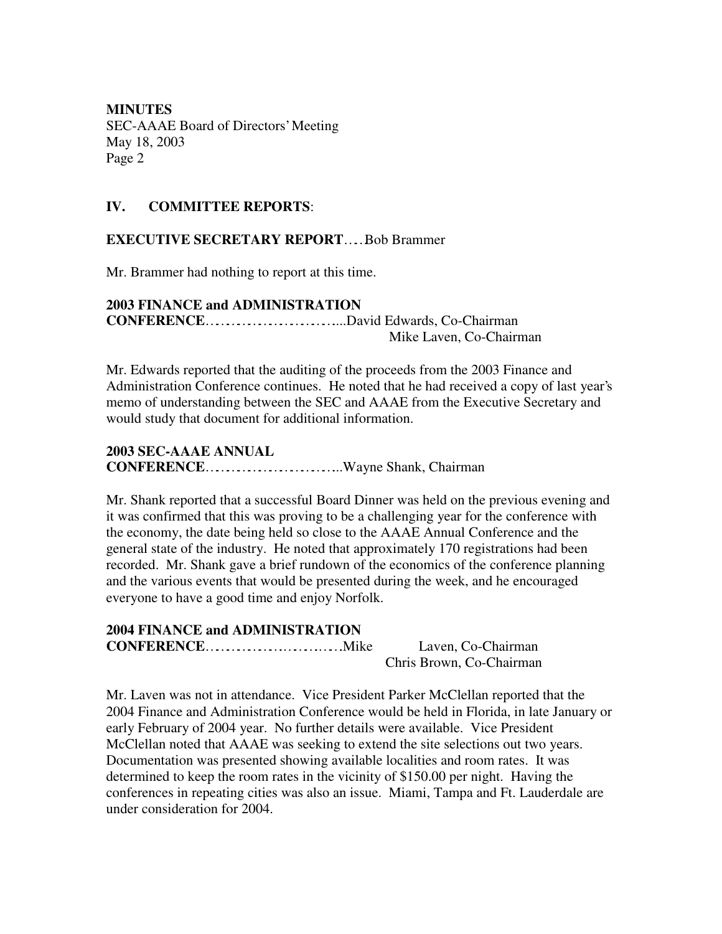#### **IV. COMMITTEE REPORTS**:

#### **EXECUTIVE SECRETARY REPORT**……Bob Brammer

Mr. Brammer had nothing to report at this time.

#### **2003 FINANCE and ADMINISTRATION CONFERENCE**………………………………....David Edwards, Co-Chairman

Mike Laven, Co-Chairman

Mr. Edwards reported that the auditing of the proceeds from the 2003 Finance and Administration Conference continues. He noted that he had received a copy of last year's memo of understanding between the SEC and AAAE from the Executive Secretary and would study that document for additional information.

## **2003 SEC-AAAE ANNUAL CONFERENCE**………………………………...Wayne Shank, Chairman

Mr. Shank reported that a successful Board Dinner was held on the previous evening and it was confirmed that this was proving to be a challenging year for the conference with the economy, the date being held so close to the AAAE Annual Conference and the general state of the industry. He noted that approximately 170 registrations had been recorded. Mr. Shank gave a brief rundown of the economics of the conference planning and the various events that would be presented during the week, and he encouraged everyone to have a good time and enjoy Norfolk.

# **2004 FINANCE and ADMINISTRATION**

**CONFERENCE**………………….……….…….Mike Laven, Co-Chairman Chris Brown, Co-Chairman

Mr. Laven was not in attendance. Vice President Parker McClellan reported that the 2004 Finance and Administration Conference would be held in Florida, in late January or early February of 2004 year. No further details were available. Vice President McClellan noted that AAAE was seeking to extend the site selections out two years. Documentation was presented showing available localities and room rates. It was determined to keep the room rates in the vicinity of \$150.00 per night. Having the conferences in repeating cities was also an issue. Miami, Tampa and Ft. Lauderdale are under consideration for 2004.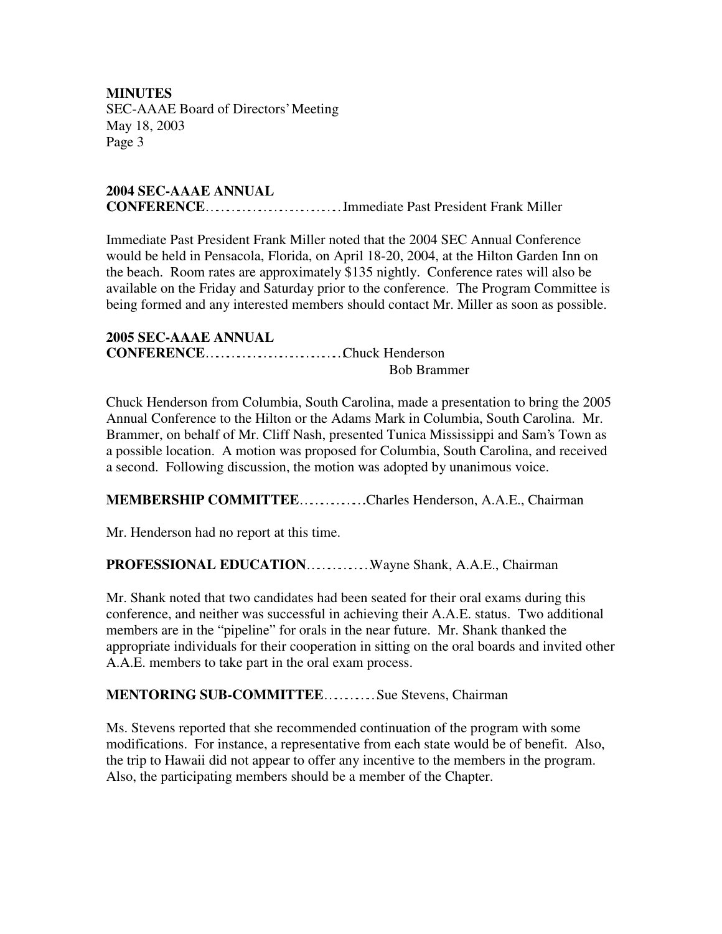#### **2004 SEC-AAAE ANNUAL CONFERENCE**…………………………………Immediate Past President Frank Miller

Immediate Past President Frank Miller noted that the 2004 SEC Annual Conference would be held in Pensacola, Florida, on April 18-20, 2004, at the Hilton Garden Inn on the beach. Room rates are approximately \$135 nightly. Conference rates will also be available on the Friday and Saturday prior to the conference. The Program Committee is being formed and any interested members should contact Mr. Miller as soon as possible.

**2005 SEC-AAAE ANNUAL CONFERENCE**…………………………………Chuck Henderson Bob Brammer

Chuck Henderson from Columbia, South Carolina, made a presentation to bring the 2005 Annual Conference to the Hilton or the Adams Mark in Columbia, South Carolina. Mr. Brammer, on behalf of Mr. Cliff Nash, presented Tunica Mississippi and Sam's Town as a possible location. A motion was proposed for Columbia, South Carolina, and received a second. Following discussion, the motion was adopted by unanimous voice.

## **MEMBERSHIP COMMITTEE**……………….Charles Henderson, A.A.E., Chairman

Mr. Henderson had no report at this time.

## **PROFESSIONAL EDUCATION**………………Wayne Shank, A.A.E., Chairman

Mr. Shank noted that two candidates had been seated for their oral exams during this conference, and neither was successful in achieving their A.A.E. status. Two additional members are in the "pipeline" for orals in the near future. Mr. Shank thanked the appropriate individuals for their cooperation in sitting on the oral boards and invited other A.A.E. members to take part in the oral exam process.

## **MENTORING SUB-COMMITTEE**……………Sue Stevens, Chairman

Ms. Stevens reported that she recommended continuation of the program with some modifications. For instance, a representative from each state would be of benefit. Also, the trip to Hawaii did not appear to offer any incentive to the members in the program. Also, the participating members should be a member of the Chapter.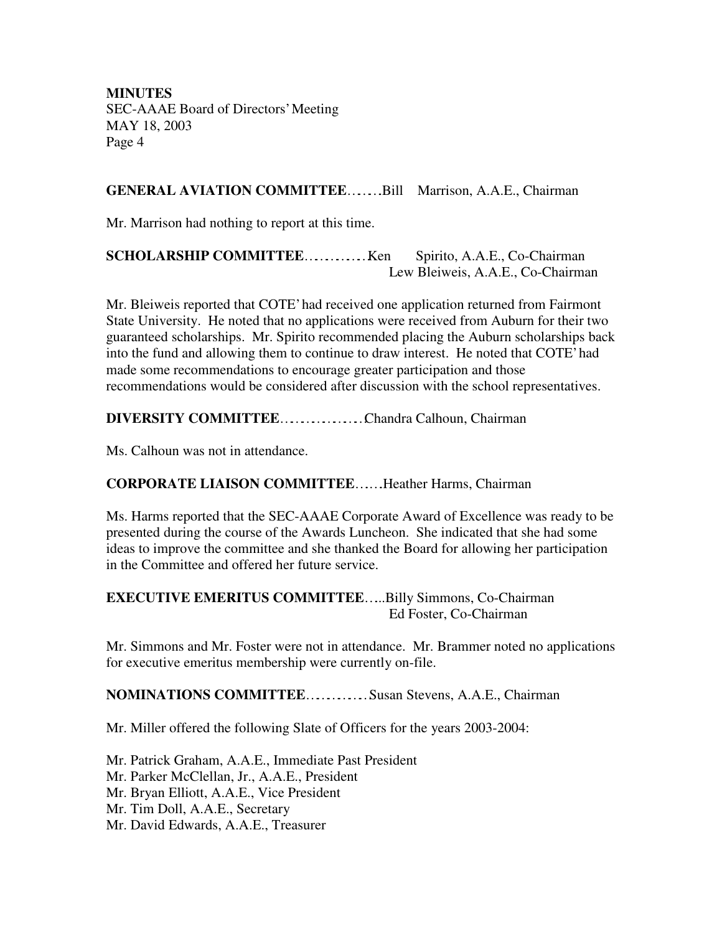#### **GENERAL AVIATION COMMITTEE**……….Bill Marrison, A.A.E., Chairman

Mr. Marrison had nothing to report at this time.

## **SCHOLARSHIP COMMITTEE**………………Ken Spirito, A.A.E., Co-Chairman Lew Bleiweis, A.A.E., Co-Chairman

Mr. Bleiweis reported that COTE' had received one application returned from Fairmont State University. He noted that no applications were received from Auburn for their two guaranteed scholarships. Mr. Spirito recommended placing the Auburn scholarships back into the fund and allowing them to continue to draw interest. He noted that COTE' had made some recommendations to encourage greater participation and those recommendations would be considered after discussion with the school representatives.

## **DIVERSITY COMMITTEE**……………………Chandra Calhoun, Chairman

Ms. Calhoun was not in attendance.

## **CORPORATE LIAISON COMMITTEE**….….Heather Harms, Chairman

Ms. Harms reported that the SEC-AAAE Corporate Award of Excellence was ready to be presented during the course of the Awards Luncheon. She indicated that she had some ideas to improve the committee and she thanked the Board for allowing her participation in the Committee and offered her future service.

#### **EXECUTIVE EMERITUS COMMITTEE**…...Billy Simmons, Co-Chairman Ed Foster, Co-Chairman

Mr. Simmons and Mr. Foster were not in attendance. Mr. Brammer noted no applications for executive emeritus membership were currently on-file.

#### **NOMINATIONS COMMITTEE**………………Susan Stevens, A.A.E., Chairman

Mr. Miller offered the following Slate of Officers for the years 2003-2004:

Mr. Patrick Graham, A.A.E., Immediate Past President Mr. Parker McClellan, Jr., A.A.E., President Mr. Bryan Elliott, A.A.E., Vice President Mr. Tim Doll, A.A.E., Secretary Mr. David Edwards, A.A.E., Treasurer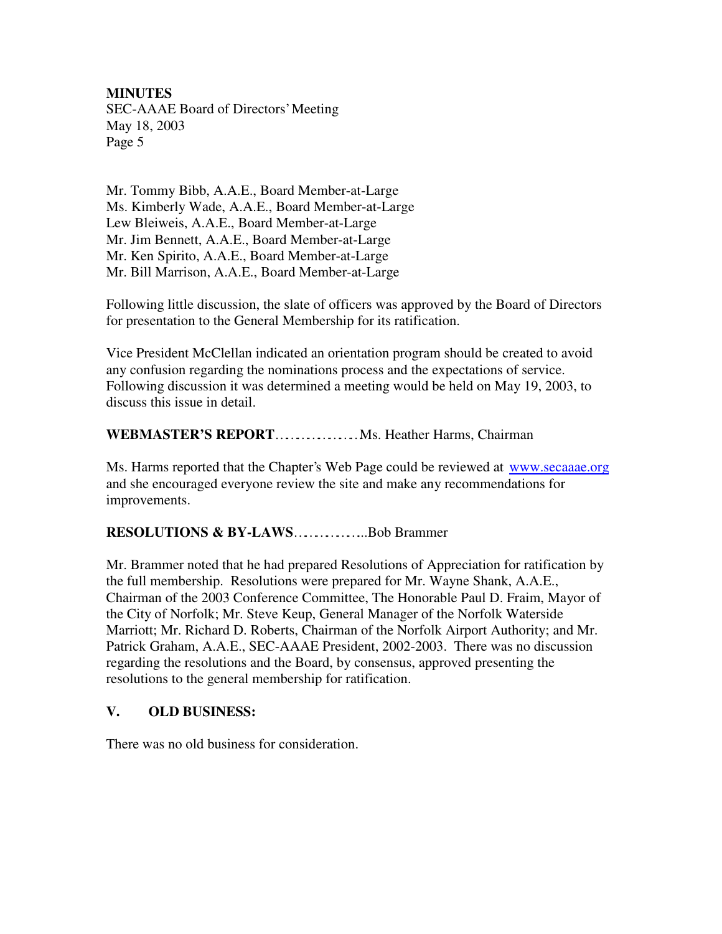Mr. Tommy Bibb, A.A.E., Board Member-at-Large Ms. Kimberly Wade, A.A.E., Board Member-at-Large Lew Bleiweis, A.A.E., Board Member-at-Large Mr. Jim Bennett, A.A.E., Board Member-at-Large Mr. Ken Spirito, A.A.E., Board Member-at-Large Mr. Bill Marrison, A.A.E., Board Member-at-Large

Following little discussion, the slate of officers was approved by the Board of Directors for presentation to the General Membership for its ratification.

Vice President McClellan indicated an orientation program should be created to avoid any confusion regarding the nominations process and the expectations of service. Following discussion it was determined a meeting would be held on May 19, 2003, to discuss this issue in detail.

#### **WEBMASTER'S REPORT**……………………Ms. Heather Harms, Chairman

Ms. Harms reported that the Chapter's Web Page could be reviewed at www.secaaae.org and she encouraged everyone review the site and make any recommendations for improvements.

#### **RESOLUTIONS & BY-LAWS**………………...Bob Brammer

Mr. Brammer noted that he had prepared Resolutions of Appreciation for ratification by the full membership. Resolutions were prepared for Mr. Wayne Shank, A.A.E., Chairman of the 2003 Conference Committee, The Honorable Paul D. Fraim, Mayor of the City of Norfolk; Mr. Steve Keup, General Manager of the Norfolk Waterside Marriott; Mr. Richard D. Roberts, Chairman of the Norfolk Airport Authority; and Mr. Patrick Graham, A.A.E., SEC-AAAE President, 2002-2003. There was no discussion regarding the resolutions and the Board, by consensus, approved presenting the resolutions to the general membership for ratification.

#### **V. OLD BUSINESS:**

There was no old business for consideration.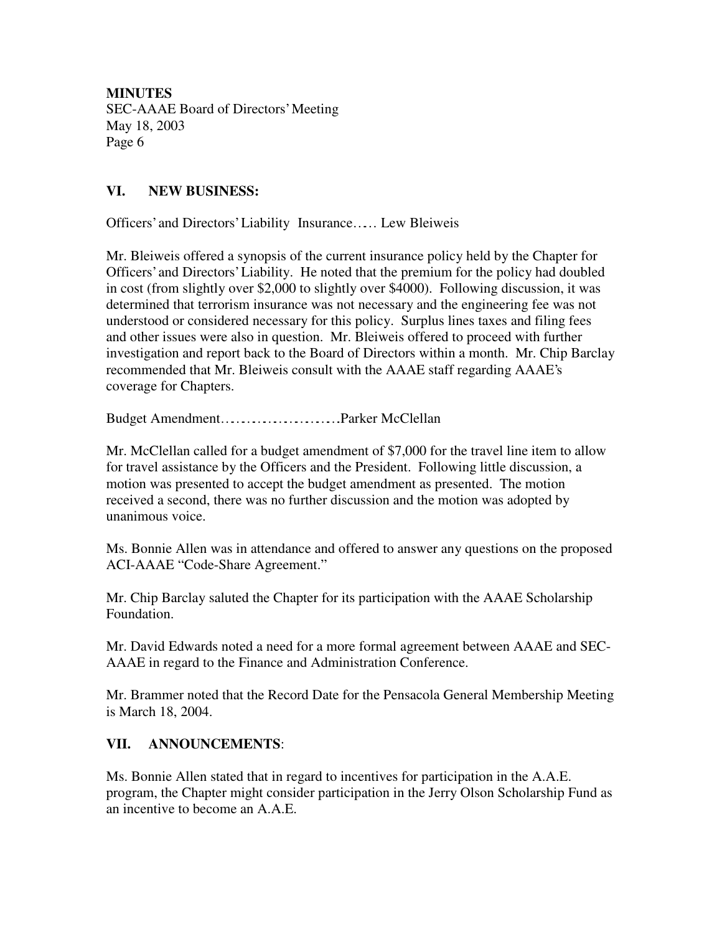# **VI. NEW BUSINESS:**

Officers' and Directors' Liability Insurance…… Lew Bleiweis

Mr. Bleiweis offered a synopsis of the current insurance policy held by the Chapter for Officers' and Directors' Liability. He noted that the premium for the policy had doubled in cost (from slightly over \$2,000 to slightly over \$4000). Following discussion, it was determined that terrorism insurance was not necessary and the engineering fee was not understood or considered necessary for this policy. Surplus lines taxes and filing fees and other issues were also in question. Mr. Bleiweis offered to proceed with further investigation and report back to the Board of Directors within a month. Mr. Chip Barclay recommended that Mr. Bleiweis consult with the AAAE staff regarding AAAE's coverage for Chapters.

Budget Amendment…………………………….Parker McClellan

Mr. McClellan called for a budget amendment of \$7,000 for the travel line item to allow for travel assistance by the Officers and the President. Following little discussion, a motion was presented to accept the budget amendment as presented. The motion received a second, there was no further discussion and the motion was adopted by unanimous voice.

Ms. Bonnie Allen was in attendance and offered to answer any questions on the proposed ACI-AAAE "Code-Share Agreement."

Mr. Chip Barclay saluted the Chapter for its participation with the AAAE Scholarship Foundation.

Mr. David Edwards noted a need for a more formal agreement between AAAE and SEC-AAAE in regard to the Finance and Administration Conference.

Mr. Brammer noted that the Record Date for the Pensacola General Membership Meeting is March 18, 2004.

## **VII. ANNOUNCEMENTS**:

Ms. Bonnie Allen stated that in regard to incentives for participation in the A.A.E. program, the Chapter might consider participation in the Jerry Olson Scholarship Fund as an incentive to become an A.A.E.